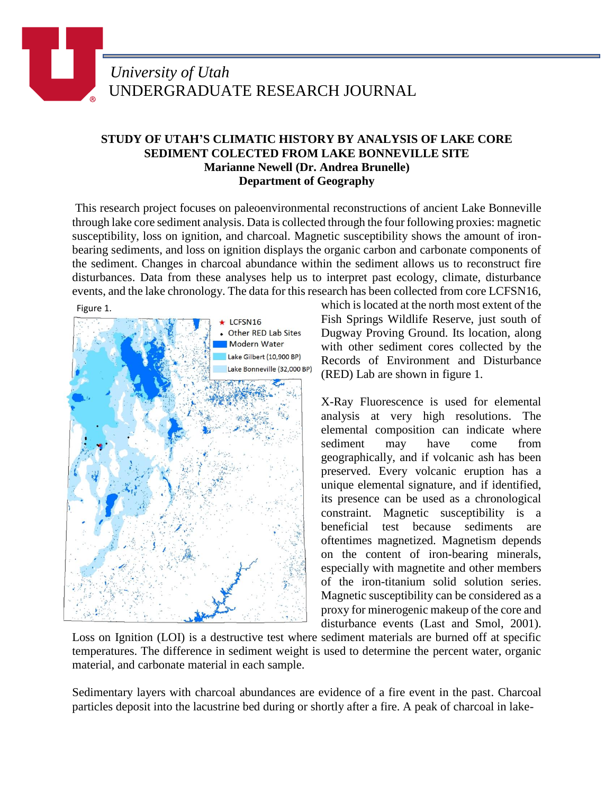## *University of Utah* UNDERGRADUATE RESEARCH JOURNAL

## **STUDY OF UTAH'S CLIMATIC HISTORY BY ANALYSIS OF LAKE CORE SEDIMENT COLECTED FROM LAKE BONNEVILLE SITE Marianne Newell (Dr. Andrea Brunelle) Department of Geography**

This research project focuses on paleoenvironmental reconstructions of ancient Lake Bonneville through lake core sediment analysis. Data is collected through the four following proxies: magnetic susceptibility, loss on ignition, and charcoal. Magnetic susceptibility shows the amount of ironbearing sediments, and loss on ignition displays the organic carbon and carbonate components of the sediment. Changes in charcoal abundance within the sediment allows us to reconstruct fire disturbances. Data from these analyses help us to interpret past ecology, climate, disturbance events, and the lake chronology. The data for this research has been collected from core LCFSN16,



which is located at the north most extent of the Fish Springs Wildlife Reserve, just south of Dugway Proving Ground. Its location, along with other sediment cores collected by the Records of Environment and Disturbance (RED) Lab are shown in figure 1.

X-Ray Fluorescence is used for elemental analysis at very high resolutions. The elemental composition can indicate where sediment may have come from geographically, and if volcanic ash has been preserved. Every volcanic eruption has a unique elemental signature, and if identified, its presence can be used as a chronological constraint. Magnetic susceptibility is a beneficial test because sediments are oftentimes magnetized. Magnetism depends on the content of iron-bearing minerals, especially with magnetite and other members of the iron-titanium solid solution series. Magnetic susceptibility can be considered as a proxy for minerogenic makeup of the core and disturbance events (Last and Smol, 2001).

Loss on Ignition (LOI) is a destructive test where sediment materials are burned off at specific temperatures. The difference in sediment weight is used to determine the percent water, organic material, and carbonate material in each sample.

Sedimentary layers with charcoal abundances are evidence of a fire event in the past. Charcoal particles deposit into the lacustrine bed during or shortly after a fire. A peak of charcoal in lake-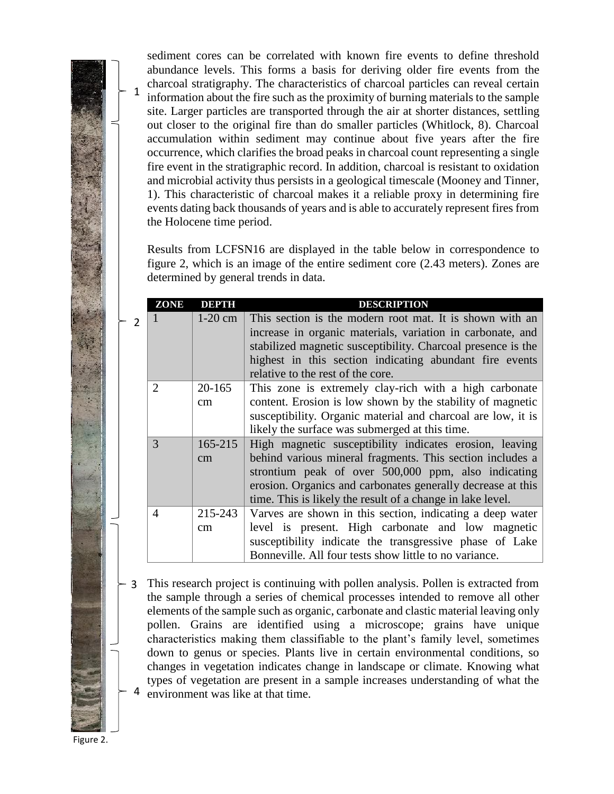sediment cores can be correlated with known fire events to define threshold abundance levels. This forms a basis for deriving older fire events from the charcoal stratigraphy. The characteristics of charcoal particles can reveal certain information about the fire such as the proximity of burning materials to the sample site. Larger particles are transported through the air at shorter distances, settling out closer to the original fire than do smaller particles (Whitlock, 8). Charcoal accumulation within sediment may continue about five years after the fire occurrence, which clarifies the broad peaks in charcoal count representing a single fire event in the stratigraphic record. In addition, charcoal is resistant to oxidation and microbial activity thus persists in a geological timescale (Mooney and Tinner, 1). This characteristic of charcoal makes it a reliable proxy in determining fire events dating back thousands of years and is able to accurately represent fires from the Holocene time period.

Results from LCFSN16 are displayed in the table below in correspondence to figure 2, which is an image of the entire sediment core (2.43 meters). Zones are determined by general trends in data.

| ZONE                  | DEPTH       | <b>DESCRIPTION</b>                                           |
|-----------------------|-------------|--------------------------------------------------------------|
|                       | $1-20$ cm   | This section is the modern root mat. It is shown with an     |
|                       |             | increase in organic materials, variation in carbonate, and   |
|                       |             | stabilized magnetic susceptibility. Charcoal presence is the |
|                       |             | highest in this section indicating abundant fire events      |
|                       |             | relative to the rest of the core.                            |
| $\mathcal{D}_{\cdot}$ | 20-165      | This zone is extremely clay-rich with a high carbonate       |
|                       | cm          | content. Erosion is low shown by the stability of magnetic   |
|                       |             | susceptibility. Organic material and charcoal are low, it is |
|                       |             | likely the surface was submerged at this time.               |
| 3                     | $165 - 215$ | High magnetic susceptibility indicates erosion, leaving      |
|                       | cm          | behind various mineral fragments. This section includes a    |
|                       |             | strontium peak of over 500,000 ppm, also indicating          |
|                       |             | erosion. Organics and carbonates generally decrease at this  |
|                       |             | time. This is likely the result of a change in lake level.   |
| 4                     | 215-243     | Varves are shown in this section, indicating a deep water    |
|                       | cm          | level is present. High carbonate and low magnetic            |
|                       |             | susceptibility indicate the transgressive phase of Lake      |
|                       |             | Bonneville. All four tests show little to no variance.       |

This research project is continuing with pollen analysis. Pollen is extracted from 3 the sample through a series of chemical processes intended to remove all other elements of the sample such as organic, carbonate and clastic material leaving only pollen. Grains are identified using a microscope; grains have unique characteristics making them classifiable to the plant's family level, sometimes down to genus or species. Plants live in certain environmental conditions, so changes in vegetation indicates change in landscape or climate. Knowing what types of vegetation are present in a sample increases understanding of what the environment was like at that time. 4

Figure 2.

1